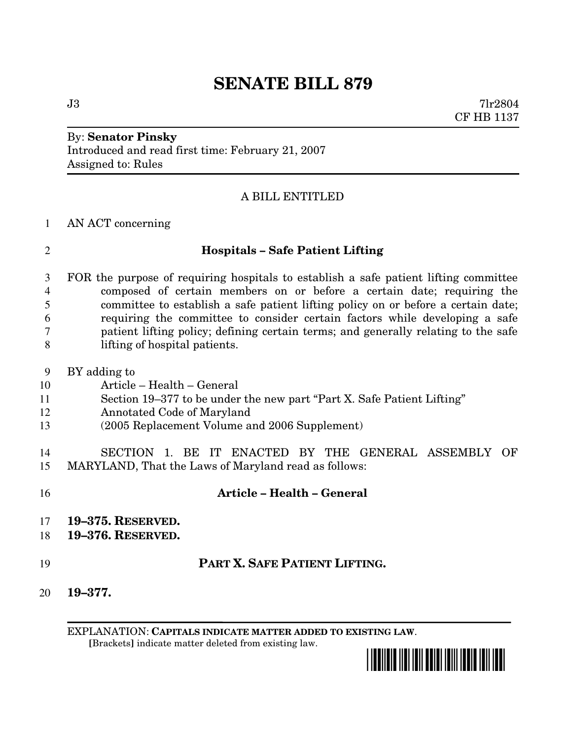# **SENATE BILL 879**

 $J3$  7lr2804 CF HB 1137

# By: **Senator Pinsky** Introduced and read first time: February 21, 2007 Assigned to: Rules

### A BILL ENTITLED

### AN ACT concerning

# **Hospitals – Safe Patient Lifting**

 FOR the purpose of requiring hospitals to establish a safe patient lifting committee composed of certain members on or before a certain date; requiring the committee to establish a safe patient lifting policy on or before a certain date; requiring the committee to consider certain factors while developing a safe patient lifting policy; defining certain terms; and generally relating to the safe lifting of hospital patients.

- BY adding to
- Article Health General
- Section 19–377 to be under the new part "Part X. Safe Patient Lifting"
- Annotated Code of Maryland
- (2005 Replacement Volume and 2006 Supplement)

 SECTION 1. BE IT ENACTED BY THE GENERAL ASSEMBLY OF MARYLAND, That the Laws of Maryland read as follows:

- **Article – Health – General 19–375. RESERVED. 19–376. RESERVED. PART X. SAFE PATIENT LIFTING. 19–377.**
	- EXPLANATION: **CAPITALS INDICATE MATTER ADDED TO EXISTING LAW**. **[**Brackets**]** indicate matter deleted from existing law.